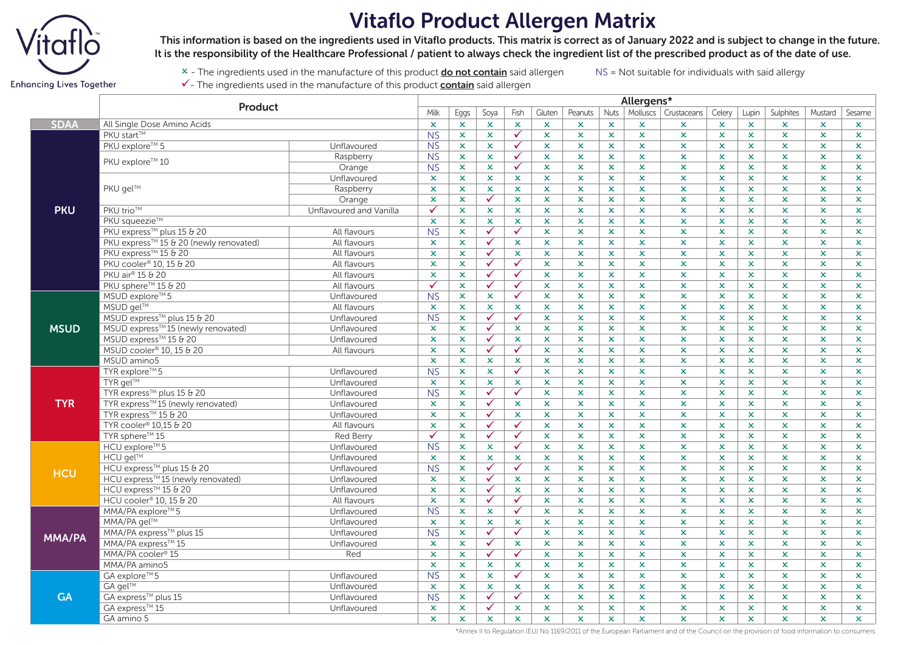

## Vitaflo Product Allergen Matrix

 This information is based on the ingredients used in Vitaflo products. This matrix is correct as of January 2022 and is subject to change in the future. It is the responsibility of the Healthcare Professional / patient to always check the ingredient list of the prescribed product as of the date of use.

x - The ingredients used in the manufacture of this product **do not contain** said allergen NS = Not suitable for individuals with said allergy  $\checkmark$  - The ingredients used in the manufacture of this product **contain** said allergen

**Enhancing Lives Together** 

**Product**<br>
Milk Eggs Soya Fish Gluten Peanuts Nuts Molluscs Crustaceans Celery Lupin Sulphites Mustard Sesame

| <b>SDAA</b>   | All Single Dose Amino Acids            |                         | $\boldsymbol{\mathsf{x}}$ | $\mathsf{x}$              | $\mathsf{x}$   | $\mathbf x$          | $\pmb{\times}$ | x                         | $\mathbf x$    | ×              | ×                         | $\boldsymbol{\mathsf{x}}$ | ×              | $\mathsf{x}$              | $\mathbf x$    | $\mathbf x$    |
|---------------|----------------------------------------|-------------------------|---------------------------|---------------------------|----------------|----------------------|----------------|---------------------------|----------------|----------------|---------------------------|---------------------------|----------------|---------------------------|----------------|----------------|
|               | PKU start™                             |                         | N <sub>S</sub>            | $\mathbf x$               | $\mathbf x$    | $\checkmark$         | $\pmb{\times}$ | $\pmb{\times}$            | $\mathbf x$    | $\mathsf{x}$   | $\mathbf x$               | $\mathbf x$               | $\mathbf x$    | $\mathbf x$               | x              | $\mathbf x$    |
|               | PKU explore™ 5                         | Unflavoured             | <b>NS</b>                 | $\mathbf x$               | $\mathbf x$    | $\checkmark$         | $\mathbf x$    | $\mathbf x$               | $\mathsf{x}$   | $\mathsf{x}$   | $\mathbf x$               | $\mathbf x$               | $\mathsf{x}$   | $\mathbf x$               | $\mathsf{x}$   | $\mathbf x$    |
|               | PKU explore™ 10                        | Raspberry               | <b>NS</b>                 | $\mathsf{x}$              | $\mathbf x$    | $\checkmark$         | $\mathbf x$    | x                         | $\mathbf x$    | $\mathbf{x}$   | $\mathbf x$               | x.                        | $\mathbf x$    | $\mathbf x$               | x              | $\mathbf x$    |
|               |                                        | Orange                  | <b>NS</b>                 | $\mathbf x$               | $\pmb{\times}$ | $\checkmark$         | $\pmb{\times}$ | $\mathsf{x}$              | $\mathbf x$    | $\mathsf{x}$   | $\pmb{\times}$            | $\mathbf x$               | $\mathsf{x}$   | $\mathbf x$               | $\pmb{\times}$ | $\mathbf x$    |
|               | PKU gel™                               | Unflavoured             | $\mathbf x$               | $\mathbf x$               | $\mathbf x$    | $\mathbf x$          | $\mathsf{x}$   | ×                         | $\mathbf x$    | $\pmb{\times}$ | $\pmb{\times}$            | $\mathbf x$               | $\mathbf x$    | $\mathbf x$               | x              | $\mathbf x$    |
|               |                                        | Raspberry               | $\pmb{\times}$            | $\mathsf{x}$              | $\mathbf x$    | $\mathsf{x}$         | $\pmb{\times}$ | $\mathsf{x}$              | $\mathbf x$    | $\mathbf x$    | $\mathbf x$               | x                         | $\mathbf x$    | x                         | x              | x              |
| <b>PKU</b>    |                                        | Orange                  | $\mathbf x$               | $\mathsf{x}$              | $\checkmark$   | $\mathbf x$          | $\mathsf{x}$   | $\mathbf x$               | $\mathbf x$    | $\mathsf{x}$   | $\mathbf x$               | $\mathbf x$               | $\mathsf{x}$   | $\mathbf x$               | $\mathsf{x}$   | $\mathbf x$    |
|               | PKU trio™                              | Unflavoured and Vanilla | $\checkmark$              | $\boldsymbol{\mathsf{x}}$ | $\mathbf x$    | $\mathbf x$          | $\mathbf x$    | $\boldsymbol{\mathsf{x}}$ | $\mathbf x$    | $\mathsf{x}$   | $\boldsymbol{\mathsf{x}}$ | $\mathbf x$               | $\mathbf x$    | $\boldsymbol{\mathsf{x}}$ | $\mathbf x$    | $\mathbf x$    |
|               | PKU saueezie™                          |                         | $\pmb{\times}$            | $\mathsf{x}$              | $\mathbf x$    | $\mathbf x$          | $\mathbf x$    | x                         | $\pmb{\times}$ | $\mathbf{x}$   | $\mathbf x$               | $\mathbf x$               | $\mathbf x$    | $\mathbf x$               | $\mathsf{x}$   | $\mathsf{x}$   |
|               | PKU express™ plus 15 & 20              | All flavours            | N <sub>S</sub>            | $\mathsf{x}$              | $\checkmark$   | $\checkmark$         | $\pmb{\times}$ | ×                         | $\mathbf x$    | $\mathsf{x}$   | $\pmb{\times}$            | $\pmb{\times}$            | $\mathbf x$    | $\mathbf x$               | $\pmb{\times}$ | $\mathbf x$    |
|               | PKU express™ 15 & 20 (newly renovated) | All flavours            | $\boldsymbol{\mathsf{x}}$ | $\mathsf{x}$              | $\checkmark$   | $\mathsf{x}$         | $\mathsf{x}$   | ×                         | $\mathbf x$    | $\mathsf{x}$   | $\mathbf x$               | $\mathbf x$               | $\mathsf{x}$   | $\mathbf x$               | x              | $\mathbf x$    |
|               | PKU express™ 15 & 20                   | All flavours            | $\boldsymbol{\mathsf{x}}$ | $\mathsf{x}$              | $\checkmark$   | $\mathbf x$          | $\mathsf{x}$   | x                         | $\mathbf x$    | $\mathsf{x}$   | $\mathbf x$               | $\mathbf x$               | $\mathsf{x}$   | $\mathbf x$               | $\mathbf x$    | $\mathbf x$    |
|               | PKU cooler <sup>®</sup> 10, 15 & 20    | All flavours            | $\pmb{\times}$            | $\mathbf x$               | $\checkmark$   | ✓                    | $\pmb{\times}$ | ×                         | $\mathbf x$    | $\mathsf{x}$   | $\pmb{\times}$            | x                         | $\pmb{\times}$ | $\boldsymbol{\mathsf{x}}$ | x              | $\mathbf x$    |
|               | PKU air <sup>®</sup> 15 & 20           | All flavours            | $\mathbf x$               | $\mathsf{x}$              | $\checkmark$   | $\checkmark$         | $\mathbf x$    | $\mathbf x$               | $\mathbf x$    | $\mathsf{x}$   | $\mathbf x$               | $\mathbf x$               | $\mathbf x$    | $\mathbf x$               | $\mathsf{x}$   | $\mathbf x$    |
|               | PKU sphere™ 15 & 20                    | All flavours            | $\checkmark$              | $\mathsf{x}$              | $\checkmark$   | $\checkmark$         | $\mathsf{x}$   | ×.                        | $\mathbf x$    | $\mathbf x$    | $\mathbf x$               | $\pmb{\times}$            | $\mathsf{x}$   | $\mathbf x$               | $\mathbf{x}$   | $\mathbf{x}$   |
| <b>MSUD</b>   | MSUD explore™5                         | Unflavoured             | <b>NS</b>                 | $\mathbf x$               | $\mathbf x$    | $\checkmark$         | $\mathbf x$    | ×                         | $\mathbf x$    | $\mathbf{x}$   | $\pmb{\times}$            | x.                        | $\mathbf x$    | $\pmb{\times}$            | ×.             | $\mathbf x$    |
|               | MSUD gel™                              | All flavours            | $\mathbf x$               | $\mathsf{x}$              | $\mathbf x$    | $\mathbf x$          | $\mathbf x$    | ×                         | $\pmb{\times}$ | $\mathsf{x}$   | $\mathbf x$               | $\pmb{\times}$            | $\mathbf x$    | $\mathbf x$               | $\pmb{\times}$ | $\mathbf x$    |
|               | MSUD express™ plus 15 & 20             | Unflavoured             | N <sub>S</sub>            | $\mathsf{x}$              | $\checkmark$   | ✓                    | $\pmb{\times}$ | ×                         | $\mathbf x$    | $\mathsf{x}$   | $\mathbf x$               | $\mathbf x$               | $\mathsf{x}$   | $\mathbf x$               | x              | $\mathbf x$    |
|               | MSUD express™15 (newly renovated)      | Unflavoured             | $\boldsymbol{\mathsf{x}}$ | $\mathsf{x}$              | $\checkmark$   | $\mathbf x$          | $\mathbf x$    | x                         | $\mathbf x$    | $\mathbf x$    | $\mathbf x$               | x.                        | $\mathbf x$    | $\mathbf x$               | x              | $\mathbf x$    |
|               | MSUD express™ 15 & 20                  | Unflavoured             | $\pmb{\times}$            | $\mathbf x$               | $\checkmark$   | $\pmb{\times}$       | $\pmb{\times}$ | ×                         | $\pmb{\times}$ | $\pmb{\times}$ | $\pmb{\times}$            | $\pmb{\times}$            | $\pmb{\times}$ | $\boldsymbol{\mathsf{x}}$ | x              | $\mathbf x$    |
|               | MSUD cooler <sup>®</sup> 10, 15 & 20   | All flavours            | $\mathbf x$               | $\mathbf x$               | $\checkmark$   | $\checkmark$         | $\mathbf x$    | $\boldsymbol{\mathsf{x}}$ | $\pmb{\times}$ | $\mathsf{x}$   | $\boldsymbol{\mathsf{x}}$ | $\pmb{\times}$            | $\mathbf x$    | $\mathbf x$               | $\mathbf x$    | $\mathbf x$    |
|               | MSUD amino5                            |                         | $\pmb{\times}$            | $\mathbf{x}$              | $\mathbf x$    | $\mathbf{x}$         | $\mathbf x$    | x                         | $\mathbf x$    | $\mathbf{x}$   | $\mathbf x$               | x.                        | $\mathbf x$    | $\mathbf x$               | x              | $\mathbf x$    |
| <b>TYR</b>    | TYR explore™5                          | Unflavoured             | N <sub>S</sub>            | $\mathsf{x}$              | $\mathbf x$    | $\checkmark$         | $\pmb{\times}$ | $\mathsf{x}$              | $\pmb{\times}$ | $\mathsf{x}$   | $\mathbf x$               | x.                        | $\mathbf x$    | $\mathbf x$               | x              | $\mathbf x$    |
|               | TYR gel™                               | Unflavoured             | $\boldsymbol{\mathsf{x}}$ | $\mathsf{x}$              | $\mathbf x$    | $\mathbf x$          | $\mathsf{x}$   | x                         | $\mathbf x$    | $\mathsf{x}$   | $\mathbf x$               | $\mathbf x$               | $\mathsf{x}$   | $\mathbf x$               | $\mathbf x$    | $\mathbf x$    |
|               | TYR express™ plus 15 & 20              | Unflavoured             | <b>NS</b>                 | $\mathbf x$               | $\checkmark$   | ✓                    | $\mathsf{x}$   | ×                         | $\mathbf x$    | $\mathsf{x}$   | $\boldsymbol{\mathsf{x}}$ | $\pmb{\times}$            | $\mathbf x$    | $\boldsymbol{\mathsf{x}}$ | x              | $\mathbf x$    |
|               | TYR express™15 (newly renovated)       | Unflavoured             | $\mathbf x$               | $\mathbf x$               | $\checkmark$   | $\pmb{\times}$       | $\mathbf x$    | $\pmb{\times}$            | $\pmb{\times}$ | $\mathsf{x}$   | $\pmb{\times}$            | $\pmb{\times}$            | $\mathbf x$    | $\mathbf x$               | $\pmb{\times}$ | $\mathbf x$    |
|               | TYR express™ 15 & 20                   | Unflavoured             | $\pmb{\times}$            | $\mathsf{x}$              | $\checkmark$   | $\mathbf x$          | $\pmb{\times}$ | $\pmb{\times}$            | $\mathbf x$    | $\mathsf{x}$   | $\mathbf x$               | $\pmb{\times}$            | $\mathbf x$    | $\mathbf x$               | x              | $\mathbf x$    |
|               | TYR cooler <sup>®</sup> 10.15 & 20     | All flavours            | $\mathbf x$               | $\mathsf{x}$              | $\checkmark$   | $\checkmark$         | $\mathbf x$    | $\mathbf x$               | $\mathbf x$    | $\mathbf{x}$   | $\mathbf x$               | $\mathbf x$               | $\mathsf{x}$   | $\mathbf x$               | $\mathsf{x}$   | $\mathsf{x}$   |
|               | TYR sphere™ 15                         | <b>Red Berry</b>        | $\checkmark$              | $\mathsf{x}$              | $\checkmark$   | $\checkmark$         | $\pmb{\times}$ | ×                         | $\mathbf x$    | $\mathsf{x}$   | $\pmb{\times}$            | x.                        | $\pmb{\times}$ | $\pmb{\times}$            | x              | $\mathbf x$    |
| <b>HCU</b>    | HCU explore™5                          | Unflavoured             | <b>NS</b>                 | $\mathsf{x}$              | $\mathbf x$    | $\checkmark$         | $\pmb{\times}$ | $\mathsf{x}$              | $\pmb{\times}$ | $\mathbf{x}$   | $\mathbf x$               | $\pmb{\times}$            | $\mathbf x$    | $\mathbf x$               | $\pmb{\times}$ | $\mathsf{x}$   |
|               | <b>HCU</b> gel™                        | Unflavoured             | $\boldsymbol{\mathsf{x}}$ | $\mathsf{x}$              | $\mathbf x$    | $\pmb{\times}$       | $\mathbf x$    | $\mathsf{x}$              | $\pmb{\times}$ | $\pmb{\times}$ | $\pmb{\times}$            | $\mathbf x$               | $\mathbf x$    | $\mathbf x$               | $\mathbf x$    | $\mathbf x$    |
|               | HCU express™ plus 15 & 20              | Unflavoured             | <b>NS</b>                 | $\mathsf{x}$              | $\checkmark$   | ✓                    | $\mathsf{x}$   | ×                         | $\mathbf x$    | $\mathbf{x}$   | $\pmb{\times}$            | ×.                        | $\mathsf{x}$   | $\mathbf x$               | $\mathbf x$    | $\mathbf x$    |
|               | HCU express™15 (newly renovated)       | Unflavoured             | $\mathbf x$               | $\mathsf{x}$              | $\checkmark$   | $\mathbf x$          | $\mathbf x$    | $\boldsymbol{\mathsf{x}}$ | $\pmb{\times}$ | $\mathsf{x}$   | $\pmb{\times}$            | $\pmb{\times}$            | $\mathbf x$    | $\mathbf x$               | $\pmb{\times}$ | $\mathbf x$    |
|               | HCU express™ 15 & 20                   | Unflavoured             | $\boldsymbol{\mathsf{x}}$ | $\mathbf x$               | $\checkmark$   | $\mathbf x$          | ×              | $\boldsymbol{\mathsf{x}}$ | $\mathbf x$    | $\mathsf{x}$   | $\mathbf x$               | $\mathbf x$               | $\mathbf x$    | $\mathbf x$               | $\mathbf x$    | $\mathbf x$    |
|               | HCU cooler <sup>®</sup> 10, 15 & 20    | All flavours            | $\mathbf x$               | $\mathsf{x}$              | $\checkmark$   | $\blacktriangledown$ | $\mathbf x$    | x                         | $\pmb{\times}$ | $\mathbf{x}$   | $\mathbf x$               | x.                        | $\mathbf x$    | $\mathbf x$               | $\mathsf{x}$   | $\mathsf{x}$   |
| <b>MMA/PA</b> | MMA/PA explore™5                       | Unflavoured             | N <sub>S</sub>            | $\mathsf{x}$              | $\mathbf x$    | $\checkmark$         | $\mathsf{x}$   | x                         | $\mathbf x$    | $\mathsf{x}$   | $\pmb{\times}$            | x.                        | $\mathsf{x}$   | $\pmb{\times}$            | $\pmb{\times}$ | $\pmb{\times}$ |
|               | MMA/PA gel™                            | Unflavoured             | $\mathbf x$               | $\mathbf x$               | $\mathbf x$    | $\mathbf x$          | $\mathsf{x}$   | $\mathsf{x}$              | $\mathbf x$    | $\mathsf{x}$   | $\mathbf x$               | $\mathbf x$               | $\mathbf x$    | $\mathbf x$               | x              | $\mathbf x$    |
|               | MMA/PA express™ plus 15                | Unflavoured             | <b>NS</b>                 | $\mathsf{x}$              | $\checkmark$   | $\checkmark$         | $\mathbf x$    | x                         | $\mathbf x$    | $\mathsf{x}$   | $\mathbf x$               | $\mathbf x$               | $\mathsf{x}$   | $\mathbf x$               | $\mathbf x$    | $\mathbf x$    |
|               | MMA/PA express™ 15                     | Unflavoured             | $\boldsymbol{\mathsf{x}}$ | $\pmb{\times}$            | $\checkmark$   | $\mathbf x$          | $\pmb{\times}$ | ×                         | $\pmb{\times}$ | $\mathbf x$    | $\mathbf x$               | x                         | $\pmb{\times}$ | x                         | x              | $\mathbf x$    |
|               | MMA/PA cooler <sup>®</sup> 15          | Red                     | $\mathbf x$               | $\mathsf{x}$              | $\checkmark$   | $\checkmark$         | $\mathsf{x}$   | $\mathbf x$               | $\mathsf{x}$   | $\mathsf{x}$   | $\mathbf x$               | $\pmb{\times}$            | $\mathsf{x}$   | $\mathbf x$               | $\mathsf{x}$   | $\mathbf x$    |
|               | MMA/PA amino5                          |                         | $\boldsymbol{\mathsf{x}}$ | $\mathsf{x}$              | $\mathbf x$    | $\mathbf x$          | ×              | x                         | $\mathbf x$    | $\mathsf{x}$   | $\boldsymbol{\mathsf{x}}$ | $\mathbf x$               | $\mathsf{x}$   | $\mathbf x$               | $\mathbf x$    | $\mathsf{x}$   |
| <b>GA</b>     | GA explore™5                           | Unflavoured             | <b>NS</b>                 | $\mathsf{x}$              | $\mathbf x$    | $\checkmark$         | $\mathbf x$    | x                         | $\mathbf x$    | $\mathsf{x}$   | $\mathbf x$               | x.                        | $\mathbf x$    | $\mathbf x$               | x              | $\mathbf x$    |
|               | GA gel™                                | Unflavoured             | $\mathbf x$               | $\mathsf{x}$              | $\mathbf x$    | $\mathbf x$          | $\mathbf x$    | $\mathbf x$               | $\pmb{\times}$ | $\mathsf{x}$   | $\mathbf x$               | $\pmb{\times}$            | $\mathbf x$    | $\mathbf x$               | $\pmb{\times}$ | $\mathbf x$    |
|               | GA express™ plus 15                    | Unflavoured             | N <sub>S</sub>            | $\mathsf{x}$              | $\checkmark$   | ✓                    | $\mathbf x$    | $\mathsf{x}$              | $\mathsf{x}$   | $\mathsf{x}$   | $\mathbf x$               | $\mathbf x$               | $\mathsf{x}$   | $\mathsf{x}$              | x              | $\mathsf{x}$   |
|               | GA express™ 15                         | Unflavoured             | $\pmb{\times}$            | $\pmb{\times}$            | $\checkmark$   | $\pmb{\times}$       | $\mathbf x$    | ×                         | $\pmb{\times}$ | $\pmb{\times}$ | $\pmb{\times}$            | x                         | $\pmb{\times}$ | $\pmb{\times}$            | x              | $\pmb{\times}$ |
|               | GA amino 5                             |                         | $\pmb{\times}$            | $\mathsf{x}$              | $\mathbf x$    | $\mathbf x$          | $\pmb{\times}$ | $\mathsf{x}$              | x              | $\mathbf x$    | $\mathbf x$               | x                         | $\mathbf x$    | ×.                        | x              | x              |

\*Annex II to Regulation (EU) No 1169/2011 of the European Parliament and of the Council on the provision of food information to consumers.